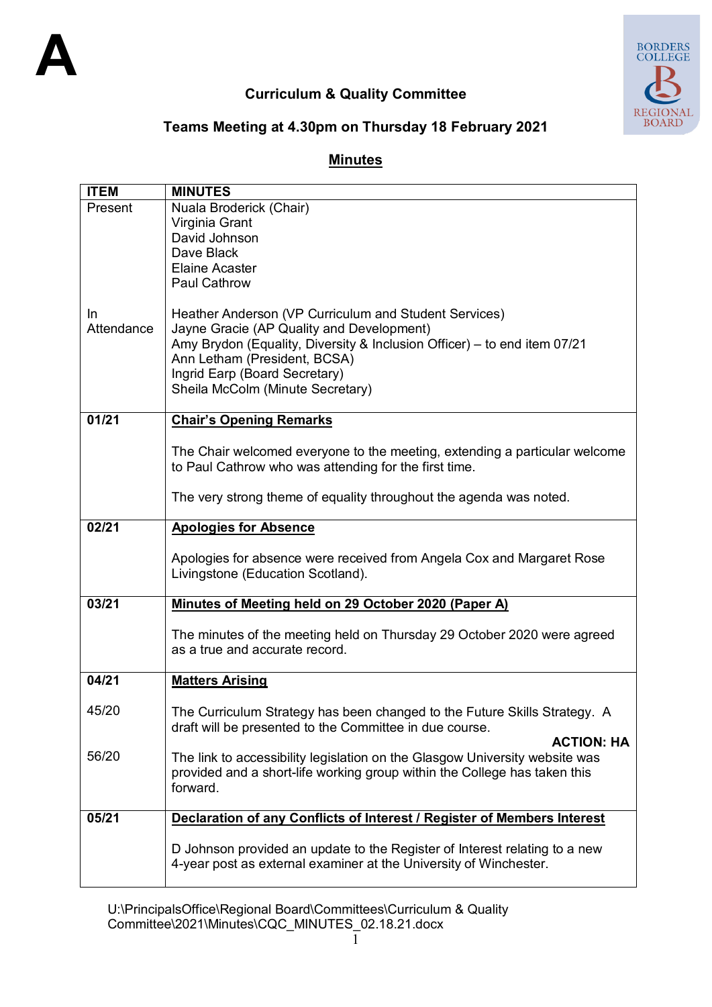

# **Curriculum & Quality Committee**



## **Teams Meeting at 4.30pm on Thursday 18 February 2021**

## **Minutes**

| <b>ITEM</b>             | <b>MINUTES</b>                                                                                                                                                                                                                                                                      |  |  |  |
|-------------------------|-------------------------------------------------------------------------------------------------------------------------------------------------------------------------------------------------------------------------------------------------------------------------------------|--|--|--|
| Present                 | Nuala Broderick (Chair)                                                                                                                                                                                                                                                             |  |  |  |
|                         | Virginia Grant                                                                                                                                                                                                                                                                      |  |  |  |
|                         | David Johnson                                                                                                                                                                                                                                                                       |  |  |  |
|                         | Dave Black                                                                                                                                                                                                                                                                          |  |  |  |
|                         | <b>Elaine Acaster</b>                                                                                                                                                                                                                                                               |  |  |  |
|                         | <b>Paul Cathrow</b>                                                                                                                                                                                                                                                                 |  |  |  |
| <u>In</u><br>Attendance | Heather Anderson (VP Curriculum and Student Services)<br>Jayne Gracie (AP Quality and Development)<br>Amy Brydon (Equality, Diversity & Inclusion Officer) - to end item 07/21<br>Ann Letham (President, BCSA)<br>Ingrid Earp (Board Secretary)<br>Sheila McColm (Minute Secretary) |  |  |  |
| 01/21                   | <b>Chair's Opening Remarks</b>                                                                                                                                                                                                                                                      |  |  |  |
|                         |                                                                                                                                                                                                                                                                                     |  |  |  |
|                         | The Chair welcomed everyone to the meeting, extending a particular welcome                                                                                                                                                                                                          |  |  |  |
|                         | to Paul Cathrow who was attending for the first time.                                                                                                                                                                                                                               |  |  |  |
|                         | The very strong theme of equality throughout the agenda was noted.                                                                                                                                                                                                                  |  |  |  |
|                         |                                                                                                                                                                                                                                                                                     |  |  |  |
| 02/21                   | <b>Apologies for Absence</b>                                                                                                                                                                                                                                                        |  |  |  |
|                         |                                                                                                                                                                                                                                                                                     |  |  |  |
|                         | Apologies for absence were received from Angela Cox and Margaret Rose                                                                                                                                                                                                               |  |  |  |
|                         | Livingstone (Education Scotland).                                                                                                                                                                                                                                                   |  |  |  |
| 03/21                   | Minutes of Meeting held on 29 October 2020 (Paper A)                                                                                                                                                                                                                                |  |  |  |
|                         |                                                                                                                                                                                                                                                                                     |  |  |  |
|                         | The minutes of the meeting held on Thursday 29 October 2020 were agreed                                                                                                                                                                                                             |  |  |  |
|                         | as a true and accurate record.                                                                                                                                                                                                                                                      |  |  |  |
| 04/21                   | <b>Matters Arising</b>                                                                                                                                                                                                                                                              |  |  |  |
|                         |                                                                                                                                                                                                                                                                                     |  |  |  |
| 45/20                   | The Curriculum Strategy has been changed to the Future Skills Strategy. A                                                                                                                                                                                                           |  |  |  |
|                         | draft will be presented to the Committee in due course.                                                                                                                                                                                                                             |  |  |  |
|                         | <b>ACTION: HA</b>                                                                                                                                                                                                                                                                   |  |  |  |
| 56/20                   | The link to accessibility legislation on the Glasgow University website was                                                                                                                                                                                                         |  |  |  |
|                         | provided and a short-life working group within the College has taken this                                                                                                                                                                                                           |  |  |  |
|                         | forward.                                                                                                                                                                                                                                                                            |  |  |  |
| 05/21                   |                                                                                                                                                                                                                                                                                     |  |  |  |
|                         | Declaration of any Conflicts of Interest / Register of Members Interest                                                                                                                                                                                                             |  |  |  |
|                         | D Johnson provided an update to the Register of Interest relating to a new                                                                                                                                                                                                          |  |  |  |
|                         | 4-year post as external examiner at the University of Winchester.                                                                                                                                                                                                                   |  |  |  |
|                         |                                                                                                                                                                                                                                                                                     |  |  |  |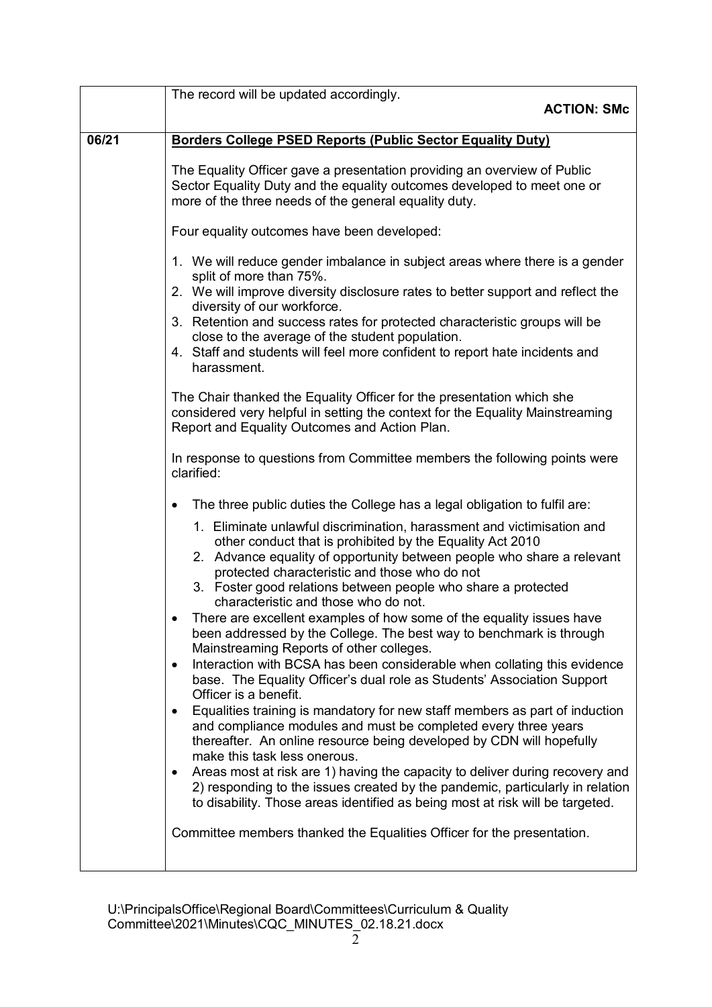|       | The record will be updated accordingly.                                                                                                                                                                                                                                                                                                                                 |  |  |  |  |
|-------|-------------------------------------------------------------------------------------------------------------------------------------------------------------------------------------------------------------------------------------------------------------------------------------------------------------------------------------------------------------------------|--|--|--|--|
|       | <b>ACTION: SMc</b>                                                                                                                                                                                                                                                                                                                                                      |  |  |  |  |
| 06/21 | <b>Borders College PSED Reports (Public Sector Equality Duty)</b>                                                                                                                                                                                                                                                                                                       |  |  |  |  |
|       | The Equality Officer gave a presentation providing an overview of Public<br>Sector Equality Duty and the equality outcomes developed to meet one or<br>more of the three needs of the general equality duty.<br>Four equality outcomes have been developed:                                                                                                             |  |  |  |  |
|       |                                                                                                                                                                                                                                                                                                                                                                         |  |  |  |  |
|       | 1. We will reduce gender imbalance in subject areas where there is a gender<br>split of more than 75%.<br>2. We will improve diversity disclosure rates to better support and reflect the<br>diversity of our workforce.                                                                                                                                                |  |  |  |  |
|       | 3. Retention and success rates for protected characteristic groups will be<br>close to the average of the student population.<br>4. Staff and students will feel more confident to report hate incidents and                                                                                                                                                            |  |  |  |  |
|       | harassment.                                                                                                                                                                                                                                                                                                                                                             |  |  |  |  |
|       | The Chair thanked the Equality Officer for the presentation which she<br>considered very helpful in setting the context for the Equality Mainstreaming<br>Report and Equality Outcomes and Action Plan.                                                                                                                                                                 |  |  |  |  |
|       | In response to questions from Committee members the following points were<br>clarified:                                                                                                                                                                                                                                                                                 |  |  |  |  |
|       | The three public duties the College has a legal obligation to fulfil are:<br>$\bullet$                                                                                                                                                                                                                                                                                  |  |  |  |  |
|       | 1. Eliminate unlawful discrimination, harassment and victimisation and<br>other conduct that is prohibited by the Equality Act 2010<br>2. Advance equality of opportunity between people who share a relevant<br>protected characteristic and those who do not<br>3. Foster good relations between people who share a protected<br>characteristic and those who do not. |  |  |  |  |
|       | There are excellent examples of how some of the equality issues have<br>been addressed by the College. The best way to benchmark is through<br>Mainstreaming Reports of other colleges.                                                                                                                                                                                 |  |  |  |  |
|       | Interaction with BCSA has been considerable when collating this evidence<br>$\bullet$<br>base. The Equality Officer's dual role as Students' Association Support<br>Officer is a benefit.                                                                                                                                                                               |  |  |  |  |
|       | Equalities training is mandatory for new staff members as part of induction<br>$\bullet$<br>and compliance modules and must be completed every three years<br>thereafter. An online resource being developed by CDN will hopefully<br>make this task less onerous.                                                                                                      |  |  |  |  |
|       | Areas most at risk are 1) having the capacity to deliver during recovery and<br>٠<br>2) responding to the issues created by the pandemic, particularly in relation<br>to disability. Those areas identified as being most at risk will be targeted.                                                                                                                     |  |  |  |  |
|       | Committee members thanked the Equalities Officer for the presentation.                                                                                                                                                                                                                                                                                                  |  |  |  |  |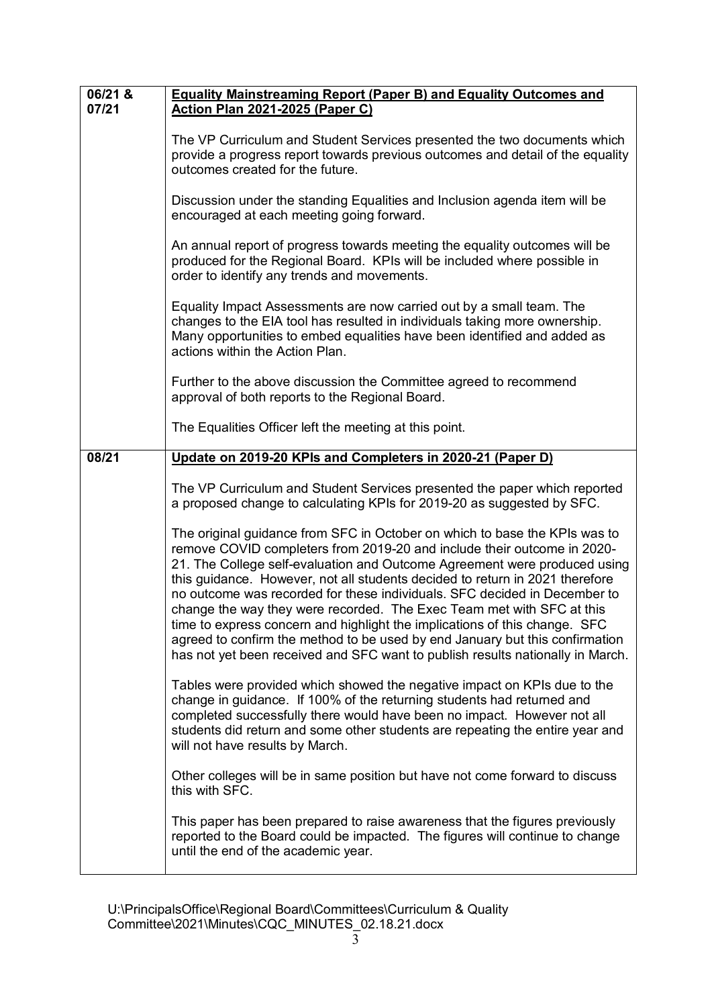| 06/21 & | <b>Equality Mainstreaming Report (Paper B) and Equality Outcomes and</b>                                                                                                                                                                                                                                                                                                                                                                                                                                                                                                                                                                                                                                                 |  |  |  |  |
|---------|--------------------------------------------------------------------------------------------------------------------------------------------------------------------------------------------------------------------------------------------------------------------------------------------------------------------------------------------------------------------------------------------------------------------------------------------------------------------------------------------------------------------------------------------------------------------------------------------------------------------------------------------------------------------------------------------------------------------------|--|--|--|--|
| 07/21   | <b>Action Plan 2021-2025 (Paper C)</b>                                                                                                                                                                                                                                                                                                                                                                                                                                                                                                                                                                                                                                                                                   |  |  |  |  |
|         | The VP Curriculum and Student Services presented the two documents which<br>provide a progress report towards previous outcomes and detail of the equality<br>outcomes created for the future.                                                                                                                                                                                                                                                                                                                                                                                                                                                                                                                           |  |  |  |  |
|         | Discussion under the standing Equalities and Inclusion agenda item will be<br>encouraged at each meeting going forward.                                                                                                                                                                                                                                                                                                                                                                                                                                                                                                                                                                                                  |  |  |  |  |
|         | An annual report of progress towards meeting the equality outcomes will be<br>produced for the Regional Board. KPIs will be included where possible in<br>order to identify any trends and movements.                                                                                                                                                                                                                                                                                                                                                                                                                                                                                                                    |  |  |  |  |
|         | Equality Impact Assessments are now carried out by a small team. The<br>changes to the EIA tool has resulted in individuals taking more ownership.<br>Many opportunities to embed equalities have been identified and added as<br>actions within the Action Plan.                                                                                                                                                                                                                                                                                                                                                                                                                                                        |  |  |  |  |
|         | Further to the above discussion the Committee agreed to recommend<br>approval of both reports to the Regional Board.                                                                                                                                                                                                                                                                                                                                                                                                                                                                                                                                                                                                     |  |  |  |  |
|         | The Equalities Officer left the meeting at this point.                                                                                                                                                                                                                                                                                                                                                                                                                                                                                                                                                                                                                                                                   |  |  |  |  |
| 08/21   | Update on 2019-20 KPIs and Completers in 2020-21 (Paper D)                                                                                                                                                                                                                                                                                                                                                                                                                                                                                                                                                                                                                                                               |  |  |  |  |
|         | The VP Curriculum and Student Services presented the paper which reported<br>a proposed change to calculating KPIs for 2019-20 as suggested by SFC.                                                                                                                                                                                                                                                                                                                                                                                                                                                                                                                                                                      |  |  |  |  |
|         | The original guidance from SFC in October on which to base the KPIs was to<br>remove COVID completers from 2019-20 and include their outcome in 2020-<br>21. The College self-evaluation and Outcome Agreement were produced using<br>this guidance. However, not all students decided to return in 2021 therefore<br>no outcome was recorded for these individuals. SFC decided in December to<br>change the way they were recorded. The Exec Team met with SFC at this<br>time to express concern and highlight the implications of this change. SFC<br>agreed to confirm the method to be used by end January but this confirmation<br>has not yet been received and SFC want to publish results nationally in March. |  |  |  |  |
|         | Tables were provided which showed the negative impact on KPIs due to the<br>change in guidance. If 100% of the returning students had returned and<br>completed successfully there would have been no impact. However not all<br>students did return and some other students are repeating the entire year and<br>will not have results by March.                                                                                                                                                                                                                                                                                                                                                                        |  |  |  |  |
|         | Other colleges will be in same position but have not come forward to discuss<br>this with SFC.                                                                                                                                                                                                                                                                                                                                                                                                                                                                                                                                                                                                                           |  |  |  |  |
|         | This paper has been prepared to raise awareness that the figures previously<br>reported to the Board could be impacted. The figures will continue to change<br>until the end of the academic year.                                                                                                                                                                                                                                                                                                                                                                                                                                                                                                                       |  |  |  |  |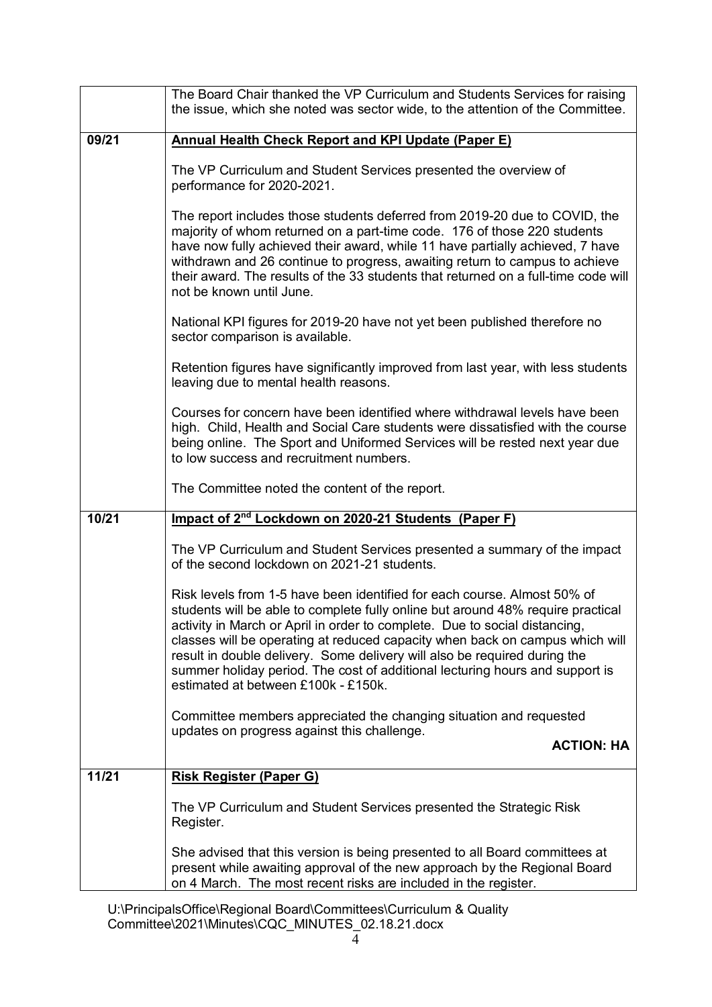|       | The Board Chair thanked the VP Curriculum and Students Services for raising<br>the issue, which she noted was sector wide, to the attention of the Committee.                                                                                                                                                                                                                                                                                                                                                                 |  |  |  |
|-------|-------------------------------------------------------------------------------------------------------------------------------------------------------------------------------------------------------------------------------------------------------------------------------------------------------------------------------------------------------------------------------------------------------------------------------------------------------------------------------------------------------------------------------|--|--|--|
| 09/21 | <b>Annual Health Check Report and KPI Update (Paper E)</b>                                                                                                                                                                                                                                                                                                                                                                                                                                                                    |  |  |  |
|       | The VP Curriculum and Student Services presented the overview of<br>performance for 2020-2021.                                                                                                                                                                                                                                                                                                                                                                                                                                |  |  |  |
|       | The report includes those students deferred from 2019-20 due to COVID, the<br>majority of whom returned on a part-time code. 176 of those 220 students<br>have now fully achieved their award, while 11 have partially achieved, 7 have<br>withdrawn and 26 continue to progress, awaiting return to campus to achieve<br>their award. The results of the 33 students that returned on a full-time code will<br>not be known until June.                                                                                      |  |  |  |
|       | National KPI figures for 2019-20 have not yet been published therefore no<br>sector comparison is available.                                                                                                                                                                                                                                                                                                                                                                                                                  |  |  |  |
|       | Retention figures have significantly improved from last year, with less students<br>leaving due to mental health reasons.                                                                                                                                                                                                                                                                                                                                                                                                     |  |  |  |
|       | Courses for concern have been identified where withdrawal levels have been<br>high. Child, Health and Social Care students were dissatisfied with the course<br>being online. The Sport and Uniformed Services will be rested next year due<br>to low success and recruitment numbers.                                                                                                                                                                                                                                        |  |  |  |
|       | The Committee noted the content of the report.                                                                                                                                                                                                                                                                                                                                                                                                                                                                                |  |  |  |
| 10/21 | Impact of 2 <sup>nd</sup> Lockdown on 2020-21 Students (Paper F)                                                                                                                                                                                                                                                                                                                                                                                                                                                              |  |  |  |
|       | The VP Curriculum and Student Services presented a summary of the impact<br>of the second lockdown on 2021-21 students.                                                                                                                                                                                                                                                                                                                                                                                                       |  |  |  |
|       | Risk levels from 1-5 have been identified for each course. Almost 50% of<br>students will be able to complete fully online but around 48% require practical<br>activity in March or April in order to complete. Due to social distancing,<br>classes will be operating at reduced capacity when back on campus which will<br>result in double delivery. Some delivery will also be required during the<br>summer holiday period. The cost of additional lecturing hours and support is<br>estimated at between £100k - £150k. |  |  |  |
|       | Committee members appreciated the changing situation and requested<br>updates on progress against this challenge.<br><b>ACTION: HA</b>                                                                                                                                                                                                                                                                                                                                                                                        |  |  |  |
|       |                                                                                                                                                                                                                                                                                                                                                                                                                                                                                                                               |  |  |  |
| 11/21 | <b>Risk Register (Paper G)</b>                                                                                                                                                                                                                                                                                                                                                                                                                                                                                                |  |  |  |
|       | The VP Curriculum and Student Services presented the Strategic Risk<br>Register.                                                                                                                                                                                                                                                                                                                                                                                                                                              |  |  |  |
|       | She advised that this version is being presented to all Board committees at<br>present while awaiting approval of the new approach by the Regional Board<br>on 4 March. The most recent risks are included in the register.                                                                                                                                                                                                                                                                                                   |  |  |  |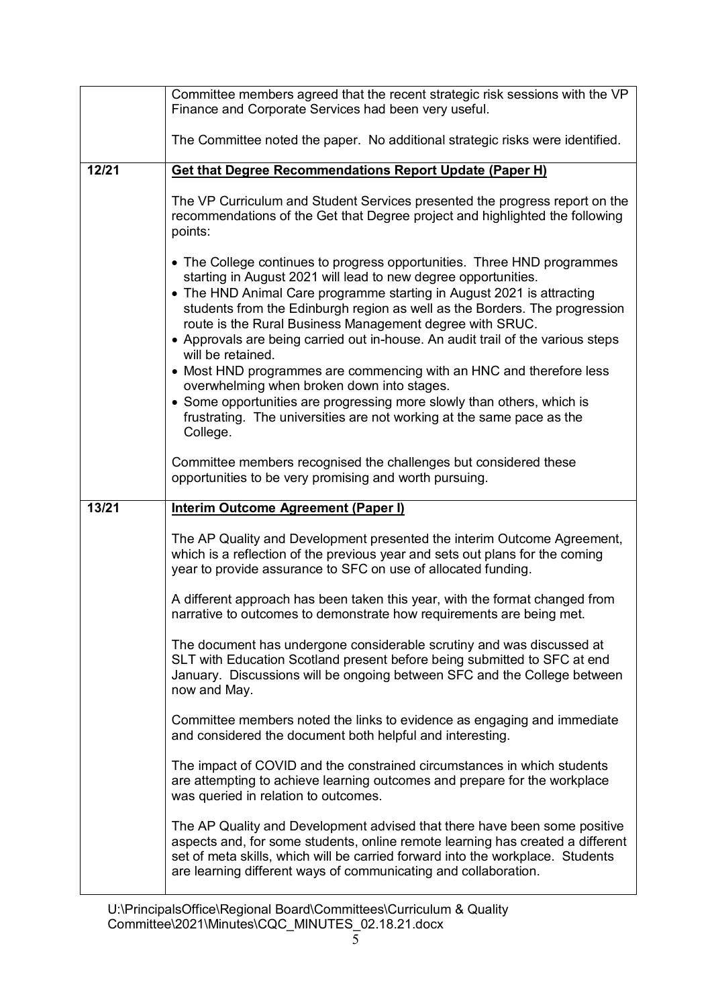|       | Committee members agreed that the recent strategic risk sessions with the VP<br>Finance and Corporate Services had been very useful.                                                                                                                                                                                                                                                                                                                                                                                                                                                                                                                                                                                                                     |  |  |  |  |
|-------|----------------------------------------------------------------------------------------------------------------------------------------------------------------------------------------------------------------------------------------------------------------------------------------------------------------------------------------------------------------------------------------------------------------------------------------------------------------------------------------------------------------------------------------------------------------------------------------------------------------------------------------------------------------------------------------------------------------------------------------------------------|--|--|--|--|
|       | The Committee noted the paper. No additional strategic risks were identified.                                                                                                                                                                                                                                                                                                                                                                                                                                                                                                                                                                                                                                                                            |  |  |  |  |
| 12/21 | <b>Get that Degree Recommendations Report Update (Paper H)</b>                                                                                                                                                                                                                                                                                                                                                                                                                                                                                                                                                                                                                                                                                           |  |  |  |  |
|       | The VP Curriculum and Student Services presented the progress report on the<br>recommendations of the Get that Degree project and highlighted the following<br>points:                                                                                                                                                                                                                                                                                                                                                                                                                                                                                                                                                                                   |  |  |  |  |
|       | • The College continues to progress opportunities. Three HND programmes<br>starting in August 2021 will lead to new degree opportunities.<br>• The HND Animal Care programme starting in August 2021 is attracting<br>students from the Edinburgh region as well as the Borders. The progression<br>route is the Rural Business Management degree with SRUC.<br>• Approvals are being carried out in-house. An audit trail of the various steps<br>will be retained.<br>• Most HND programmes are commencing with an HNC and therefore less<br>overwhelming when broken down into stages.<br>• Some opportunities are progressing more slowly than others, which is<br>frustrating. The universities are not working at the same pace as the<br>College. |  |  |  |  |
|       | Committee members recognised the challenges but considered these<br>opportunities to be very promising and worth pursuing.                                                                                                                                                                                                                                                                                                                                                                                                                                                                                                                                                                                                                               |  |  |  |  |
| 13/21 | Interim Outcome Agreement (Paper I)                                                                                                                                                                                                                                                                                                                                                                                                                                                                                                                                                                                                                                                                                                                      |  |  |  |  |
|       | The AP Quality and Development presented the interim Outcome Agreement,<br>which is a reflection of the previous year and sets out plans for the coming<br>year to provide assurance to SFC on use of allocated funding.                                                                                                                                                                                                                                                                                                                                                                                                                                                                                                                                 |  |  |  |  |
|       | A different approach has been taken this year, with the format changed from<br>narrative to outcomes to demonstrate how requirements are being met.                                                                                                                                                                                                                                                                                                                                                                                                                                                                                                                                                                                                      |  |  |  |  |
|       | The document has undergone considerable scrutiny and was discussed at<br>SLT with Education Scotland present before being submitted to SFC at end<br>January. Discussions will be ongoing between SFC and the College between<br>now and May.                                                                                                                                                                                                                                                                                                                                                                                                                                                                                                            |  |  |  |  |
|       | Committee members noted the links to evidence as engaging and immediate<br>and considered the document both helpful and interesting.                                                                                                                                                                                                                                                                                                                                                                                                                                                                                                                                                                                                                     |  |  |  |  |
|       | The impact of COVID and the constrained circumstances in which students<br>are attempting to achieve learning outcomes and prepare for the workplace<br>was queried in relation to outcomes.                                                                                                                                                                                                                                                                                                                                                                                                                                                                                                                                                             |  |  |  |  |
|       | The AP Quality and Development advised that there have been some positive<br>aspects and, for some students, online remote learning has created a different<br>set of meta skills, which will be carried forward into the workplace. Students<br>are learning different ways of communicating and collaboration.                                                                                                                                                                                                                                                                                                                                                                                                                                         |  |  |  |  |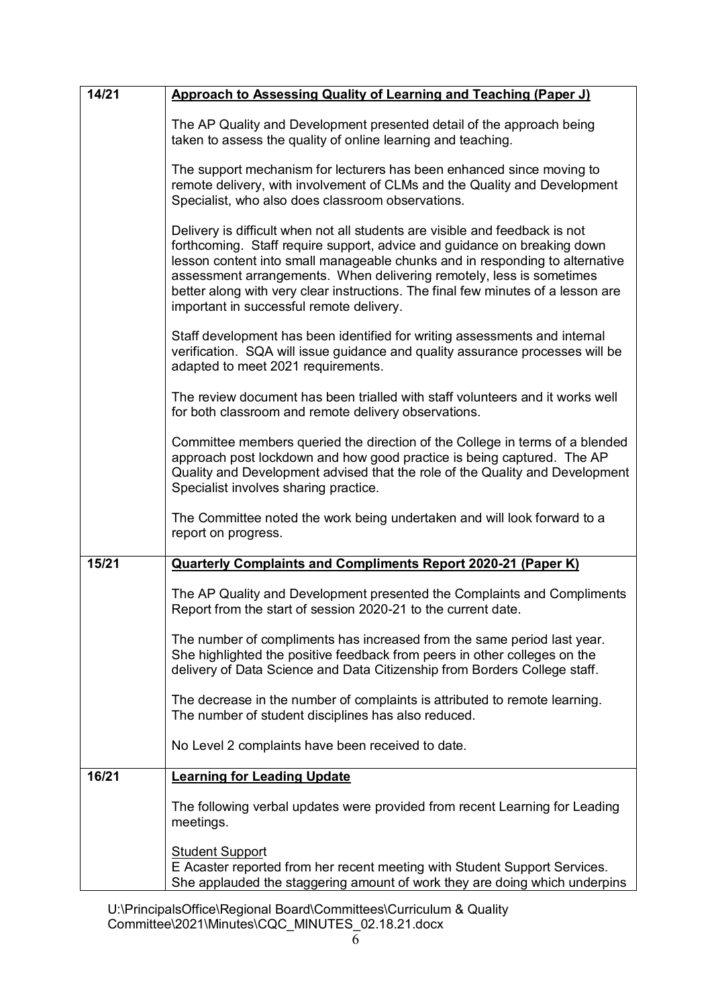| 14/21 | <b>Approach to Assessing Quality of Learning and Teaching (Paper J)</b>                                                                                                                                                                                                                                                                                                                                                                         |  |  |  |
|-------|-------------------------------------------------------------------------------------------------------------------------------------------------------------------------------------------------------------------------------------------------------------------------------------------------------------------------------------------------------------------------------------------------------------------------------------------------|--|--|--|
|       | The AP Quality and Development presented detail of the approach being<br>taken to assess the quality of online learning and teaching.                                                                                                                                                                                                                                                                                                           |  |  |  |
|       | The support mechanism for lecturers has been enhanced since moving to<br>remote delivery, with involvement of CLMs and the Quality and Development<br>Specialist, who also does classroom observations.                                                                                                                                                                                                                                         |  |  |  |
|       | Delivery is difficult when not all students are visible and feedback is not<br>forthcoming. Staff require support, advice and guidance on breaking down<br>lesson content into small manageable chunks and in responding to alternative<br>assessment arrangements. When delivering remotely, less is sometimes<br>better along with very clear instructions. The final few minutes of a lesson are<br>important in successful remote delivery. |  |  |  |
|       | Staff development has been identified for writing assessments and internal<br>verification. SQA will issue guidance and quality assurance processes will be<br>adapted to meet 2021 requirements.                                                                                                                                                                                                                                               |  |  |  |
|       | The review document has been trialled with staff volunteers and it works well<br>for both classroom and remote delivery observations.                                                                                                                                                                                                                                                                                                           |  |  |  |
|       | Committee members queried the direction of the College in terms of a blended<br>approach post lockdown and how good practice is being captured. The AP<br>Quality and Development advised that the role of the Quality and Development<br>Specialist involves sharing practice.                                                                                                                                                                 |  |  |  |
|       | The Committee noted the work being undertaken and will look forward to a<br>report on progress.                                                                                                                                                                                                                                                                                                                                                 |  |  |  |
| 15/21 | <b>Quarterly Complaints and Compliments Report 2020-21 (Paper K)</b>                                                                                                                                                                                                                                                                                                                                                                            |  |  |  |
|       | The AP Quality and Development presented the Complaints and Compliments<br>Report from the start of session 2020-21 to the current date.                                                                                                                                                                                                                                                                                                        |  |  |  |
|       | The number of compliments has increased from the same period last year.<br>She highlighted the positive feedback from peers in other colleges on the<br>delivery of Data Science and Data Citizenship from Borders College staff.                                                                                                                                                                                                               |  |  |  |
|       | The decrease in the number of complaints is attributed to remote learning.<br>The number of student disciplines has also reduced.                                                                                                                                                                                                                                                                                                               |  |  |  |
|       | No Level 2 complaints have been received to date.                                                                                                                                                                                                                                                                                                                                                                                               |  |  |  |
| 16/21 | <b>Learning for Leading Update</b>                                                                                                                                                                                                                                                                                                                                                                                                              |  |  |  |
|       | The following verbal updates were provided from recent Learning for Leading<br>meetings.                                                                                                                                                                                                                                                                                                                                                        |  |  |  |
|       | <b>Student Support</b><br>E Acaster reported from her recent meeting with Student Support Services.<br>She applauded the staggering amount of work they are doing which underpins                                                                                                                                                                                                                                                               |  |  |  |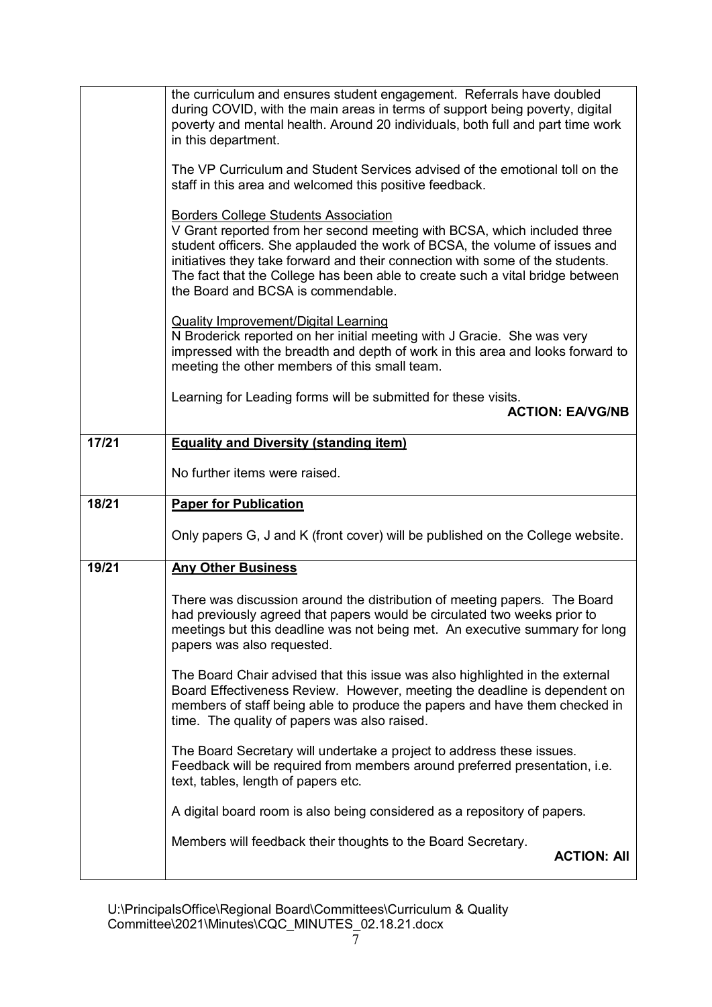|                                                                                                                                                                                                                                                                                         | the curriculum and ensures student engagement. Referrals have doubled<br>during COVID, with the main areas in terms of support being poverty, digital<br>poverty and mental health. Around 20 individuals, both full and part time work<br>in this department.                                                                                                                                                |  |  |  |
|-----------------------------------------------------------------------------------------------------------------------------------------------------------------------------------------------------------------------------------------------------------------------------------------|---------------------------------------------------------------------------------------------------------------------------------------------------------------------------------------------------------------------------------------------------------------------------------------------------------------------------------------------------------------------------------------------------------------|--|--|--|
|                                                                                                                                                                                                                                                                                         | The VP Curriculum and Student Services advised of the emotional toll on the<br>staff in this area and welcomed this positive feedback.                                                                                                                                                                                                                                                                        |  |  |  |
|                                                                                                                                                                                                                                                                                         | <b>Borders College Students Association</b><br>V Grant reported from her second meeting with BCSA, which included three<br>student officers. She applauded the work of BCSA, the volume of issues and<br>initiatives they take forward and their connection with some of the students.<br>The fact that the College has been able to create such a vital bridge between<br>the Board and BCSA is commendable. |  |  |  |
|                                                                                                                                                                                                                                                                                         | <b>Quality Improvement/Digital Learning</b><br>N Broderick reported on her initial meeting with J Gracie. She was very<br>impressed with the breadth and depth of work in this area and looks forward to<br>meeting the other members of this small team.                                                                                                                                                     |  |  |  |
|                                                                                                                                                                                                                                                                                         | Learning for Leading forms will be submitted for these visits.<br><b>ACTION: EA/VG/NB</b>                                                                                                                                                                                                                                                                                                                     |  |  |  |
| 17/21                                                                                                                                                                                                                                                                                   | <b>Equality and Diversity (standing item)</b>                                                                                                                                                                                                                                                                                                                                                                 |  |  |  |
|                                                                                                                                                                                                                                                                                         | No further items were raised.                                                                                                                                                                                                                                                                                                                                                                                 |  |  |  |
| 18/21                                                                                                                                                                                                                                                                                   | <b>Paper for Publication</b>                                                                                                                                                                                                                                                                                                                                                                                  |  |  |  |
|                                                                                                                                                                                                                                                                                         | Only papers G, J and K (front cover) will be published on the College website.                                                                                                                                                                                                                                                                                                                                |  |  |  |
| 19/21                                                                                                                                                                                                                                                                                   | <b>Any Other Business</b>                                                                                                                                                                                                                                                                                                                                                                                     |  |  |  |
|                                                                                                                                                                                                                                                                                         | There was discussion around the distribution of meeting papers. The Board<br>had previously agreed that papers would be circulated two weeks prior to<br>meetings but this deadline was not being met. An executive summary for long<br>papers was also requested.                                                                                                                                            |  |  |  |
| The Board Chair advised that this issue was also highlighted in the external<br>Board Effectiveness Review. However, meeting the deadline is dependent on<br>members of staff being able to produce the papers and have them checked in<br>time. The quality of papers was also raised. |                                                                                                                                                                                                                                                                                                                                                                                                               |  |  |  |
|                                                                                                                                                                                                                                                                                         | The Board Secretary will undertake a project to address these issues.<br>Feedback will be required from members around preferred presentation, i.e.<br>text, tables, length of papers etc.                                                                                                                                                                                                                    |  |  |  |
|                                                                                                                                                                                                                                                                                         | A digital board room is also being considered as a repository of papers.                                                                                                                                                                                                                                                                                                                                      |  |  |  |
|                                                                                                                                                                                                                                                                                         | Members will feedback their thoughts to the Board Secretary.<br><b>ACTION: All</b>                                                                                                                                                                                                                                                                                                                            |  |  |  |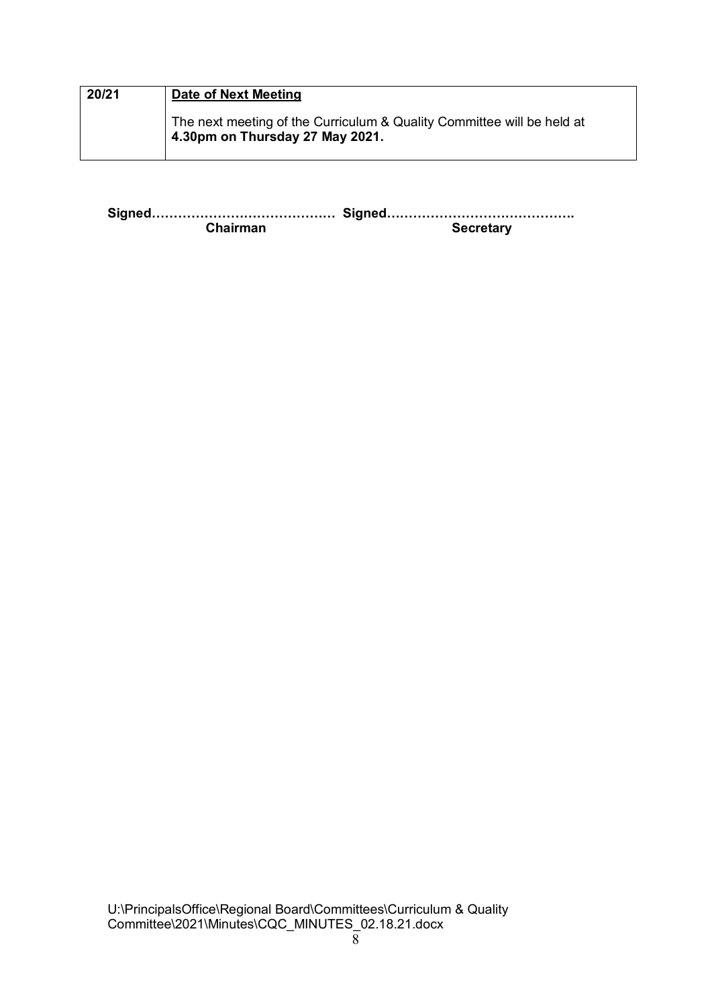| 20/21 | Date of Next Meeting                                                                                              |
|-------|-------------------------------------------------------------------------------------------------------------------|
|       | The next meeting of the Curriculum & Quality Committee will be held at<br>$\vert$ 4.30pm on Thursday 27 May 2021. |

**Signed…………………………………… Signed……………………………………. Secretary**